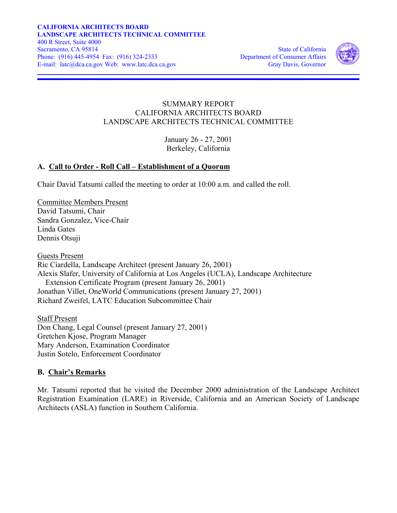

## SUMMARY REPORT CALIFORNIA ARCHITECTS BOARD LANDSCAPE ARCHITECTS TECHNICAL COMMITTEE

January 26 - 27, 2001 Berkeley, California

## **A. Call to Order - Roll Call – Establishment of a Quorum**

Chair David Tatsumi called the meeting to order at 10:00 a.m. and called the roll.

Committee Members Present David Tatsumi, Chair Sandra Gonzalez, Vice-Chair Linda Gates Dennis Otsuji

Guests Present Ric Ciardella, Landscape Architect (present January 26, 2001) Alexis Slafer, University of California at Los Angeles (UCLA), Landscape Architecture Extension Certificate Program (present January 26, 2001) Jonathan Villet, OneWorld Communications (present January 27, 2001) Richard Zweifel, LATC Education Subcommittee Chair

Staff Present Don Chang, Legal Counsel (present January 27, 2001) Gretchen Kjose, Program Manager Mary Anderson, Examination Coordinator Justin Sotelo, Enforcement Coordinator

#### **B. Chair's Remarks**

Mr. Tatsumi reported that he visited the December 2000 administration of the Landscape Architect Registration Examination (LARE) in Riverside, California and an American Society of Landscape Architects (ASLA) function in Southern California.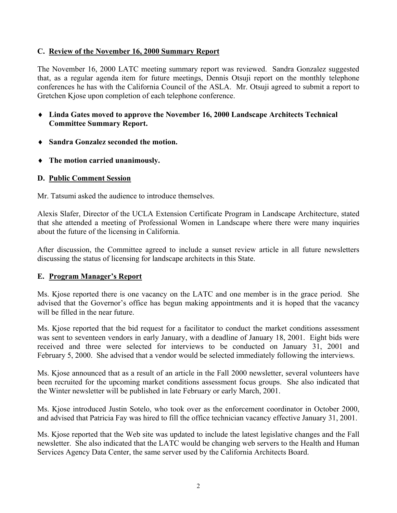### **C. Review of the November 16, 2000 Summary Report**

The November 16, 2000 LATC meeting summary report was reviewed. Sandra Gonzalez suggested that, as a regular agenda item for future meetings, Dennis Otsuji report on the monthly telephone conferences he has with the California Council of the ASLA. Mr. Otsuji agreed to submit a report to Gretchen Kjose upon completion of each telephone conference.

- ♦ **Linda Gates moved to approve the November 16, 2000 Landscape Architects Technical Committee Summary Report.**
- ♦ **Sandra Gonzalez seconded the motion.**
- ♦ **The motion carried unanimously.**

## **D. Public Comment Session**

Mr. Tatsumi asked the audience to introduce themselves.

Alexis Slafer, Director of the UCLA Extension Certificate Program in Landscape Architecture, stated that she attended a meeting of Professional Women in Landscape where there were many inquiries about the future of the licensing in California.

After discussion, the Committee agreed to include a sunset review article in all future newsletters discussing the status of licensing for landscape architects in this State.

## **E. Program Manager's Report**

Ms. Kjose reported there is one vacancy on the LATC and one member is in the grace period. She advised that the Governor's office has begun making appointments and it is hoped that the vacancy will be filled in the near future.

Ms. Kjose reported that the bid request for a facilitator to conduct the market conditions assessment was sent to seventeen vendors in early January, with a deadline of January 18, 2001. Eight bids were received and three were selected for interviews to be conducted on January 31, 2001 and February 5, 2000. She advised that a vendor would be selected immediately following the interviews.

Ms. Kjose announced that as a result of an article in the Fall 2000 newsletter, several volunteers have been recruited for the upcoming market conditions assessment focus groups. She also indicated that the Winter newsletter will be published in late February or early March, 2001.

Ms. Kjose introduced Justin Sotelo, who took over as the enforcement coordinator in October 2000, and advised that Patricia Fay was hired to fill the office technician vacancy effective January 31, 2001.

Ms. Kjose reported that the Web site was updated to include the latest legislative changes and the Fall newsletter. She also indicated that the LATC would be changing web servers to the Health and Human Services Agency Data Center, the same server used by the California Architects Board.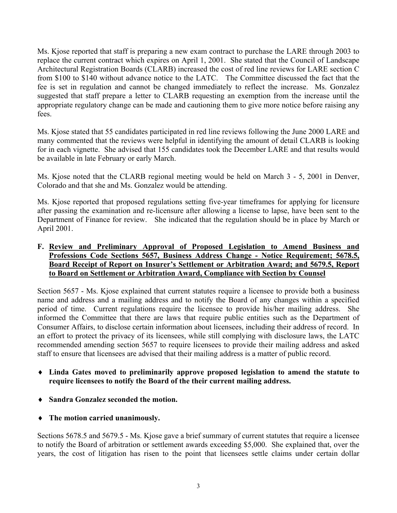Ms. Kjose reported that staff is preparing a new exam contract to purchase the LARE through 2003 to replace the current contract which expires on April 1, 2001. She stated that the Council of Landscape Architectural Registration Boards (CLARB) increased the cost of red line reviews for LARE section C from \$100 to \$140 without advance notice to the LATC. The Committee discussed the fact that the fee is set in regulation and cannot be changed immediately to reflect the increase. Ms. Gonzalez suggested that staff prepare a letter to CLARB requesting an exemption from the increase until the appropriate regulatory change can be made and cautioning them to give more notice before raising any fees.

Ms. Kjose stated that 55 candidates participated in red line reviews following the June 2000 LARE and many commented that the reviews were helpful in identifying the amount of detail CLARB is looking for in each vignette. She advised that 155 candidates took the December LARE and that results would be available in late February or early March.

Ms. Kjose noted that the CLARB regional meeting would be held on March 3 - 5, 2001 in Denver, Colorado and that she and Ms. Gonzalez would be attending.

Ms. Kjose reported that proposed regulations setting five-year timeframes for applying for licensure after passing the examination and re-licensure after allowing a license to lapse, have been sent to the Department of Finance for review. She indicated that the regulation should be in place by March or April 2001.

### **F. Review and Preliminary Approval of Proposed Legislation to Amend Business and Professions Code Sections 5657, Business Address Change - Notice Requirement; 5678.5, Board Receipt of Report on Insurer's Settlement or Arbitration Award; and 5679.5, Report to Board on Settlement or Arbitration Award, Compliance with Section by Counsel**

Section 5657 - Ms. Kjose explained that current statutes require a licensee to provide both a business name and address and a mailing address and to notify the Board of any changes within a specified period of time. Current regulations require the licensee to provide his/her mailing address. She informed the Committee that there are laws that require public entities such as the Department of Consumer Affairs, to disclose certain information about licensees, including their address of record. In an effort to protect the privacy of its licensees, while still complying with disclosure laws, the LATC recommended amending section 5657 to require licensees to provide their mailing address and asked staff to ensure that licensees are advised that their mailing address is a matter of public record.

- ♦ **Linda Gates moved to preliminarily approve proposed legislation to amend the statute to require licensees to notify the Board of the their current mailing address.**
- ♦ **Sandra Gonzalez seconded the motion.**
- ♦ **The motion carried unanimously.**

Sections 5678.5 and 5679.5 - Ms. Kjose gave a brief summary of current statutes that require a licensee to notify the Board of arbitration or settlement awards exceeding \$5,000. She explained that, over the years, the cost of litigation has risen to the point that licensees settle claims under certain dollar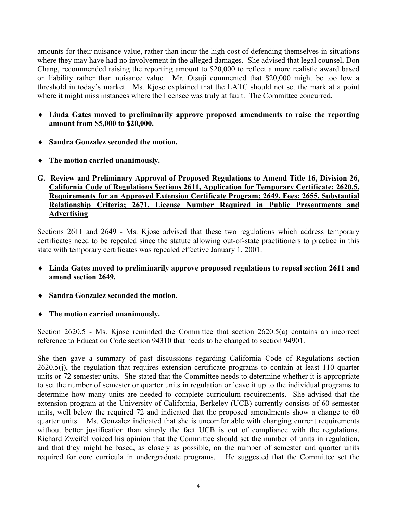amounts for their nuisance value, rather than incur the high cost of defending themselves in situations where they may have had no involvement in the alleged damages. She advised that legal counsel, Don Chang, recommended raising the reporting amount to \$20,000 to reflect a more realistic award based on liability rather than nuisance value. Mr. Otsuji commented that \$20,000 might be too low a threshold in today's market. Ms. Kjose explained that the LATC should not set the mark at a point where it might miss instances where the licensee was truly at fault. The Committee concurred.

- ♦ **Linda Gates moved to preliminarily approve proposed amendments to raise the reporting amount from \$5,000 to \$20,000.**
- ♦ **Sandra Gonzalez seconded the motion.**
- ♦ **The motion carried unanimously.**
- **G. Review and Preliminary Approval of Proposed Regulations to Amend Title 16, Division 26, California Code of Regulations Sections 2611, Application for Temporary Certificate; 2620.5, Requirements for an Approved Extension Certificate Program; 2649, Fees; 2655, Substantial Relationship Criteria; 2671, License Number Required in Public Presentments and Advertising**

Sections 2611 and 2649 - Ms. Kjose advised that these two regulations which address temporary certificates need to be repealed since the statute allowing out-of-state practitioners to practice in this state with temporary certificates was repealed effective January 1, 2001.

- ♦ **Linda Gates moved to preliminarily approve proposed regulations to repeal section 2611 and amend section 2649.**
- ♦ **Sandra Gonzalez seconded the motion.**
- ♦ **The motion carried unanimously.**

Section 2620.5 - Ms. Kjose reminded the Committee that section 2620.5(a) contains an incorrect reference to Education Code section 94310 that needs to be changed to section 94901.

She then gave a summary of past discussions regarding California Code of Regulations section 2620.5(j), the regulation that requires extension certificate programs to contain at least 110 quarter units or 72 semester units. She stated that the Committee needs to determine whether it is appropriate to set the number of semester or quarter units in regulation or leave it up to the individual programs to determine how many units are needed to complete curriculum requirements. She advised that the extension program at the University of California, Berkeley (UCB) currently consists of 60 semester units, well below the required 72 and indicated that the proposed amendments show a change to 60 quarter units. Ms. Gonzalez indicated that she is uncomfortable with changing current requirements without better justification than simply the fact UCB is out of compliance with the regulations. Richard Zweifel voiced his opinion that the Committee should set the number of units in regulation, and that they might be based, as closely as possible, on the number of semester and quarter units required for core curricula in undergraduate programs. He suggested that the Committee set the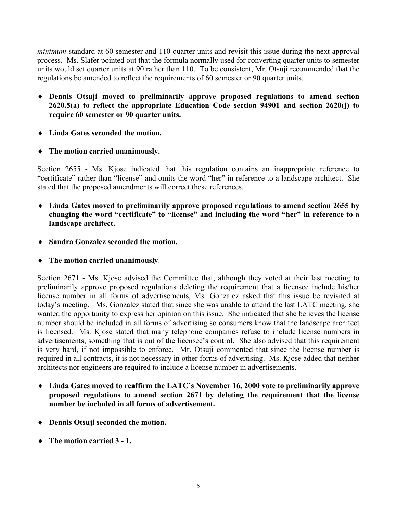*minimum* standard at 60 semester and 110 quarter units and revisit this issue during the next approval process. Ms. Slafer pointed out that the formula normally used for converting quarter units to semester units would set quarter units at 90 rather than 110. To be consistent, Mr. Otsuji recommended that the regulations be amended to reflect the requirements of 60 semester or 90 quarter units.

- ♦ **Dennis Otsuji moved to preliminarily approve proposed regulations to amend section 2620.5(a) to reflect the appropriate Education Code section 94901 and section 2620(j) to require 60 semester or 90 quarter units.**
- ♦ **Linda Gates seconded the motion.**
- ♦ **The motion carried unanimously.**

Section 2655 - Ms. Kjose indicated that this regulation contains an inappropriate reference to "certificate" rather than "license" and omits the word "her" in reference to a landscape architect. She stated that the proposed amendments will correct these references.

- ♦ **Linda Gates moved to preliminarily approve proposed regulations to amend section 2655 by changing the word "certificate" to "license" and including the word "her" in reference to a landscape architect.**
- ♦ **Sandra Gonzalez seconded the motion.**
- ♦ **The motion carried unanimously**.

Section 2671 - Ms. Kjose advised the Committee that, although they voted at their last meeting to preliminarily approve proposed regulations deleting the requirement that a licensee include his/her license number in all forms of advertisements, Ms. Gonzalez asked that this issue be revisited at today's meeting. Ms. Gonzalez stated that since she was unable to attend the last LATC meeting, she wanted the opportunity to express her opinion on this issue. She indicated that she believes the license number should be included in all forms of advertising so consumers know that the landscape architect is licensed. Ms. Kjose stated that many telephone companies refuse to include license numbers in advertisements, something that is out of the licensee's control. She also advised that this requirement is very hard, if not impossible to enforce. Mr. Otsuji commented that since the license number is required in all contracts, it is not necessary in other forms of advertising. Ms. Kjose added that neither architects nor engineers are required to include a license number in advertisements.

- ♦ **Linda Gates moved to reaffirm the LATC's November 16, 2000 vote to preliminarily approve proposed regulations to amend section 2671 by deleting the requirement that the license number be included in all forms of advertisement.**
- ♦ **Dennis Otsuji seconded the motion.**
- ♦ **The motion carried 3 1.**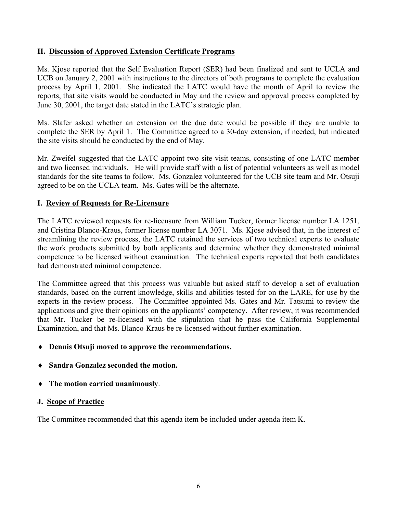## **H. Discussion of Approved Extension Certificate Programs**

Ms. Kjose reported that the Self Evaluation Report (SER) had been finalized and sent to UCLA and UCB on January 2, 2001 with instructions to the directors of both programs to complete the evaluation process by April 1, 2001. She indicated the LATC would have the month of April to review the reports, that site visits would be conducted in May and the review and approval process completed by June 30, 2001, the target date stated in the LATC's strategic plan.

Ms. Slafer asked whether an extension on the due date would be possible if they are unable to complete the SER by April 1. The Committee agreed to a 30-day extension, if needed, but indicated the site visits should be conducted by the end of May.

Mr. Zweifel suggested that the LATC appoint two site visit teams, consisting of one LATC member and two licensed individuals. He will provide staff with a list of potential volunteers as well as model standards for the site teams to follow. Ms. Gonzalez volunteered for the UCB site team and Mr. Otsuji agreed to be on the UCLA team. Ms. Gates will be the alternate.

#### **I. Review of Requests for Re-Licensure**

The LATC reviewed requests for re-licensure from William Tucker, former license number LA 1251, and Cristina Blanco-Kraus, former license number LA 3071. Ms. Kjose advised that, in the interest of streamlining the review process, the LATC retained the services of two technical experts to evaluate the work products submitted by both applicants and determine whether they demonstrated minimal competence to be licensed without examination. The technical experts reported that both candidates had demonstrated minimal competence.

The Committee agreed that this process was valuable but asked staff to develop a set of evaluation standards, based on the current knowledge, skills and abilities tested for on the LARE, for use by the experts in the review process. The Committee appointed Ms. Gates and Mr. Tatsumi to review the applications and give their opinions on the applicants' competency. After review, it was recommended that Mr. Tucker be re-licensed with the stipulation that he pass the California Supplemental Examination, and that Ms. Blanco-Kraus be re-licensed without further examination.

## ♦ **Dennis Otsuji moved to approve the recommendations.**

- ♦ **Sandra Gonzalez seconded the motion.**
- ♦ **The motion carried unanimously**.

#### **J. Scope of Practice**

The Committee recommended that this agenda item be included under agenda item K.